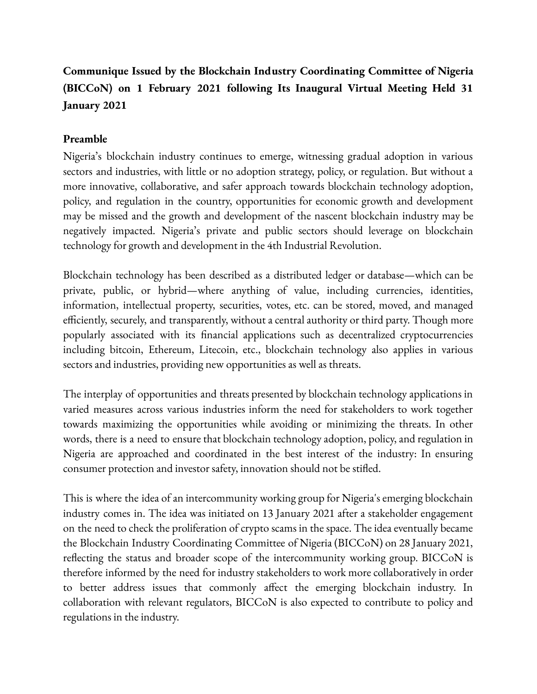# **Communique Issued by the Blockchain Industry Coordinating Committee of Nigeria (BICCoN) on 1 February 2021 following Its Inaugural Virtual Meeting Held 31 January 2021**

## **Preamble**

Nigeria's blockchain industry continues to emerge, witnessing gradual adoption in various sectors and industries, with little or no adoption strategy, policy, or regulation. But without a more innovative, collaborative, and safer approach towards blockchain technology adoption, policy, and regulation in the country, opportunities for economic growth and development may be missed and the growth and development of the nascent blockchain industry may be negatively impacted. Nigeria's private and public sectors should leverage on blockchain technology for growth and development in the 4th Industrial Revolution.

Blockchain technology has been described as a distributed ledger or database—which can be private, public, or hybrid—where anything of value, including currencies, identities, information, intellectual property, securities, votes, etc. can be stored, moved, and managed efficiently, securely, and transparently, without a central authority or third party. Though more popularly associated with its financial applications such as decentralized cryptocurrencies including bitcoin, Ethereum, Litecoin, etc., blockchain technology also applies in various sectors and industries, providing new opportunities as well as threats.

The interplay of opportunities and threats presented by blockchain technology applications in varied measures across various industries inform the need for stakeholders to work together towards maximizing the opportunities while avoiding or minimizing the threats. In other words, there is a need to ensure that blockchain technology adoption, policy, and regulation in Nigeria are approached and coordinated in the best interest of the industry: In ensuring consumer protection and investor safety, innovation should not be stifled.

This is where the idea of an intercommunity working group for Nigeria's emerging blockchain industry comes in. The idea was initiated on 13 January 2021 after a stakeholder engagement on the need to check the proliferation of crypto scams in the space. The idea eventually became the Blockchain Industry Coordinating Committee of Nigeria (BICCoN) on 28 January 2021, reflecting the status and broader scope of the intercommunity working group. BICCoN is therefore informed by the need for industry stakeholders to work more collaboratively in order to better address issues that commonly affect the emerging blockchain industry. In collaboration with relevant regulators, BICCoN is also expected to contribute to policy and regulations in the industry.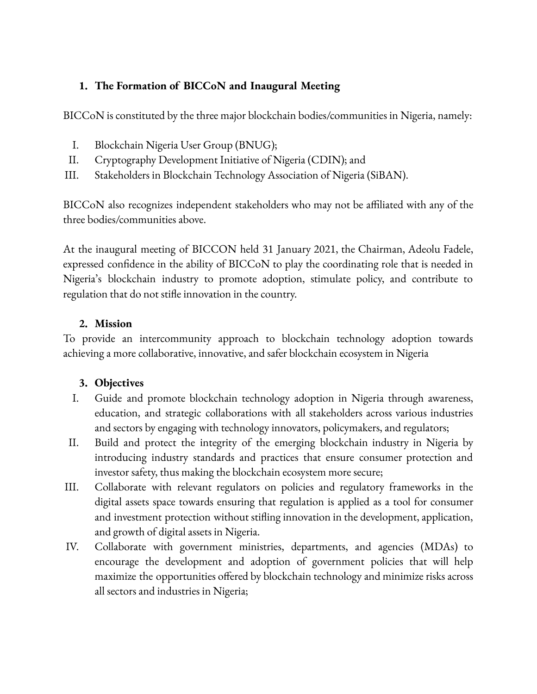## **1. The Formation of BICCoN and Inaugural Meeting**

BICCoN is constituted by the three major blockchain bodies/communities in Nigeria, namely:

- I. Blockchain Nigeria User Group (BNUG);
- II. Cryptography Development Initiative of Nigeria (CDIN); and
- III. Stakeholders in Blockchain Technology Association of Nigeria (SiBAN).

BICCoN also recognizes independent stakeholders who may not be affiliated with any of the three bodies/communities above.

At the inaugural meeting of BICCON held 31 January 2021, the Chairman, Adeolu Fadele, expressed confidence in the ability of BICCoN to play the coordinating role that is needed in Nigeria's blockchain industry to promote adoption, stimulate policy, and contribute to regulation that do not stifle innovation in the country.

## **2. Mission**

To provide an intercommunity approach to blockchain technology adoption towards achieving a more collaborative, innovative, and safer blockchain ecosystem in Nigeria

# **3. Objectives**

- I. Guide and promote blockchain technology adoption in Nigeria through awareness, education, and strategic collaborations with all stakeholders across various industries and sectors by engaging with technology innovators, policymakers, and regulators;
- II. Build and protect the integrity of the emerging blockchain industry in Nigeria by introducing industry standards and practices that ensure consumer protection and investor safety, thus making the blockchain ecosystem more secure;
- III. Collaborate with relevant regulators on policies and regulatory frameworks in the digital assets space towards ensuring that regulation is applied as a tool for consumer and investment protection without stifling innovation in the development, application, and growth of digital assets in Nigeria.
- IV. Collaborate with government ministries, departments, and agencies (MDAs) to encourage the development and adoption of government policies that will help maximize the opportunities offered by blockchain technology and minimize risks across all sectors and industries in Nigeria;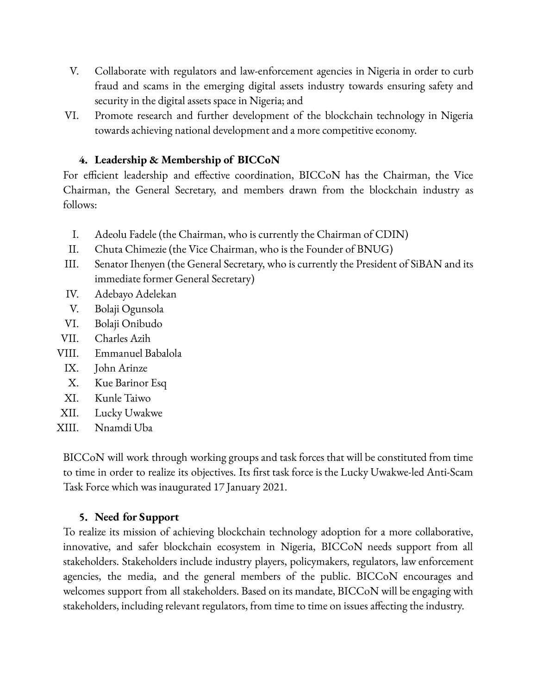- V. Collaborate with regulators and law-enforcement agencies in Nigeria in order to curb fraud and scams in the emerging digital assets industry towards ensuring safety and security in the digital assets space in Nigeria; and
- VI. Promote research and further development of the blockchain technology in Nigeria towards achieving national development and a more competitive economy.

#### **4. Leadership & Membership of BICCoN**

For efficient leadership and effective coordination, BICCoN has the Chairman, the Vice Chairman, the General Secretary, and members drawn from the blockchain industry as follows:

- I. Adeolu Fadele (the Chairman, who is currently the Chairman of CDIN)
- II. Chuta Chimezie (the Vice Chairman, who is the Founder of BNUG)
- III. Senator Ihenyen (the General Secretary, who is currently the President of SiBAN and its immediate former General Secretary)
- IV. Adebayo Adelekan
- V. Bolaji Ogunsola
- VI. Bolaji Onibudo
- VII. Charles Azih
- VIII. Emmanuel Babalola
	- IX. John Arinze
	- X. Kue Barinor Esq
	- XI. Kunle Taiwo
- XII. Lucky Uwakwe
- XIII. Nnamdi Uba

BICCoN will work through working groups and task forces that will be constituted from time to time in order to realize its objectives. Its first task force is the Lucky Uwakwe-led Anti-Scam Task Force which was inaugurated 17 January 2021.

#### **5. Need for Support**

To realize its mission of achieving blockchain technology adoption for a more collaborative, innovative, and safer blockchain ecosystem in Nigeria, BICCoN needs support from all stakeholders. Stakeholders include industry players, policymakers, regulators, law enforcement agencies, the media, and the general members of the public. BICCoN encourages and welcomes support from all stakeholders. Based on its mandate, BICCoN will be engaging with stakeholders, including relevant regulators, from time to time on issues affecting the industry.